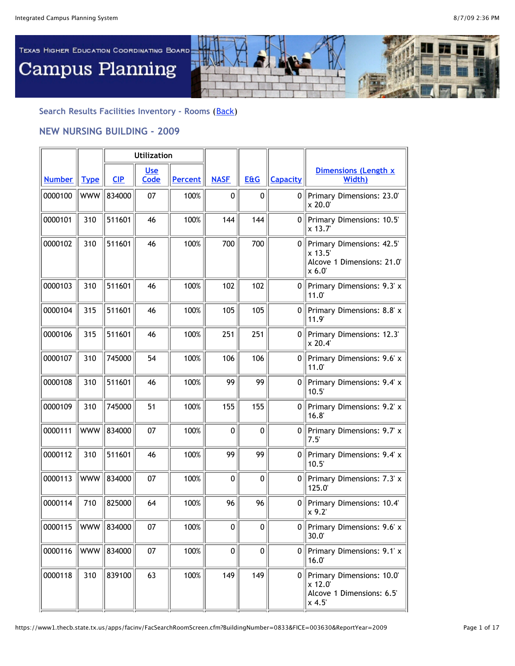

## **Search Results Facilities Inventory - Rooms** ([Back\)](javascript:history.go(-1))

## **NEW NURSING BUILDING - 2009**

|                        |             | <b>Utilization</b> |                    |                |              |                |                 |                                                                                  |
|------------------------|-------------|--------------------|--------------------|----------------|--------------|----------------|-----------------|----------------------------------------------------------------------------------|
| <b>Number</b>          | <b>Type</b> | <b>CIP</b>         | <b>Use</b><br>Code | <b>Percent</b> | <b>NASE</b>  | <b>E&amp;G</b> | <b>Capacity</b> | <b>Dimensions (Length x)</b><br>Width)                                           |
| 0000100                | <b>WWW</b>  | 834000             | 07                 | 100%           | $\mathbf 0$  | $\mathbf 0$    | 0               | Primary Dimensions: 23.0'<br>x 20.0                                              |
| 0000101                | 310         | 511601             | 46                 | 100%           | 144          | 144            | 0               | Primary Dimensions: 10.5'<br>x 13.7                                              |
| 0000102                | 310         | 511601             | 46                 | 100%           | 700          | 700            |                 | 0   Primary Dimensions: 42.5'<br>$x$ 13.5<br>Alcove 1 Dimensions: 21.0'<br>x 6.0 |
| 0000103                | 310         | 511601             | 46                 | 100%           | 102          | 102            | 0               | Primary Dimensions: 9.3' x<br>$11.0^{\circ}$                                     |
| 0000104                | 315         | 511601             | 46                 | 100%           | 105          | 105            | 0               | Primary Dimensions: 8.8' x<br>11.9'                                              |
| 0000106                | 315         | 511601             | 46                 | 100%           | 251          | 251            | $\Omega$        | Primary Dimensions: 12.3'<br>x 20.4                                              |
| 0000107                | 310         | 745000             | 54                 | 100%           | 106          | 106            | 0               | Primary Dimensions: 9.6' x<br>11.0'                                              |
| 0000108                | 310         | 511601             | 46                 | 100%           | 99           | 99             | 0               | Primary Dimensions: 9.4' x<br>10.5'                                              |
| 0000109                | 310         | 745000             | 51                 | 100%           | 155          | 155            | 0               | Primary Dimensions: 9.2' x<br>16.8'                                              |
| 0000111                | <b>WWW</b>  | 834000             | 07                 | 100%           | $\mathbf 0$  | 0              | 0               | Primary Dimensions: 9.7' x<br>7.5'                                               |
| 0000112                | 310         | 511601             | 46                 | 100%           | 99           | 99             | 0               | Primary Dimensions: 9.4' x<br>10.5'                                              |
| 0000113                | <b>WWW</b>  | 834000             | 07                 | 100%           | 0            | $\mathbf{0}$   | 0               | Primary Dimensions: 7.3' x<br>125.0                                              |
| 0000114                | 710         | 825000             | 64                 | 100%           | 96           | 96             | 0               | Primary Dimensions: 10.4'<br>$x$ 9.2                                             |
| 0000115   WWW   834000 |             |                    | 07                 | $100\%$        | 0            | 0              |                 | 0    Primary Dimensions: 9.6' x<br>30.0'                                         |
| 0000116                | <b>WWW</b>  | 834000             | 07                 | 100%           | $\mathbf{0}$ | $\mathbf 0$    |                 | 0   Primary Dimensions: 9.1' $x$<br>16.0'                                        |
| 0000118                | 310         | 839100             | 63                 | 100%           | 149          | 149            |                 | 0 Primary Dimensions: 10.0<br>$x$ 12.0<br>Alcove 1 Dimensions: 6.5'<br>$x$ 4.5   |